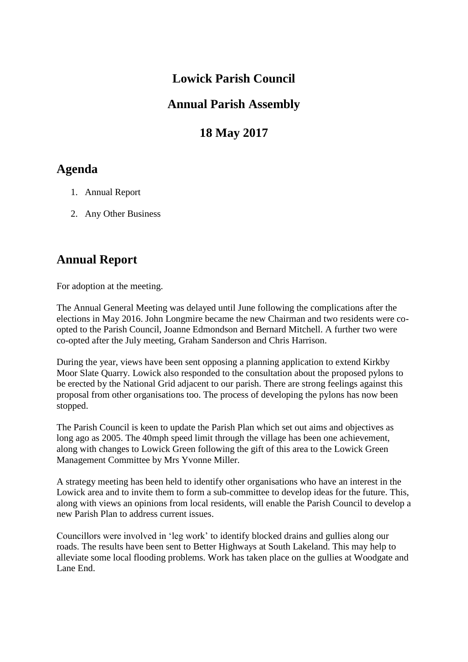#### **Lowick Parish Council**

#### **Annual Parish Assembly**

## **18 May 2017**

### **Agenda**

- 1. Annual Report
- 2. Any Other Business

# **Annual Report**

For adoption at the meeting.

The Annual General Meeting was delayed until June following the complications after the elections in May 2016. John Longmire became the new Chairman and two residents were coopted to the Parish Council, Joanne Edmondson and Bernard Mitchell. A further two were co-opted after the July meeting, Graham Sanderson and Chris Harrison.

During the year, views have been sent opposing a planning application to extend Kirkby Moor Slate Quarry. Lowick also responded to the consultation about the proposed pylons to be erected by the National Grid adjacent to our parish. There are strong feelings against this proposal from other organisations too. The process of developing the pylons has now been stopped.

The Parish Council is keen to update the Parish Plan which set out aims and objectives as long ago as 2005. The 40mph speed limit through the village has been one achievement, along with changes to Lowick Green following the gift of this area to the Lowick Green Management Committee by Mrs Yvonne Miller.

A strategy meeting has been held to identify other organisations who have an interest in the Lowick area and to invite them to form a sub-committee to develop ideas for the future. This, along with views an opinions from local residents, will enable the Parish Council to develop a new Parish Plan to address current issues.

Councillors were involved in 'leg work' to identify blocked drains and gullies along our roads. The results have been sent to Better Highways at South Lakeland. This may help to alleviate some local flooding problems. Work has taken place on the gullies at Woodgate and Lane End.